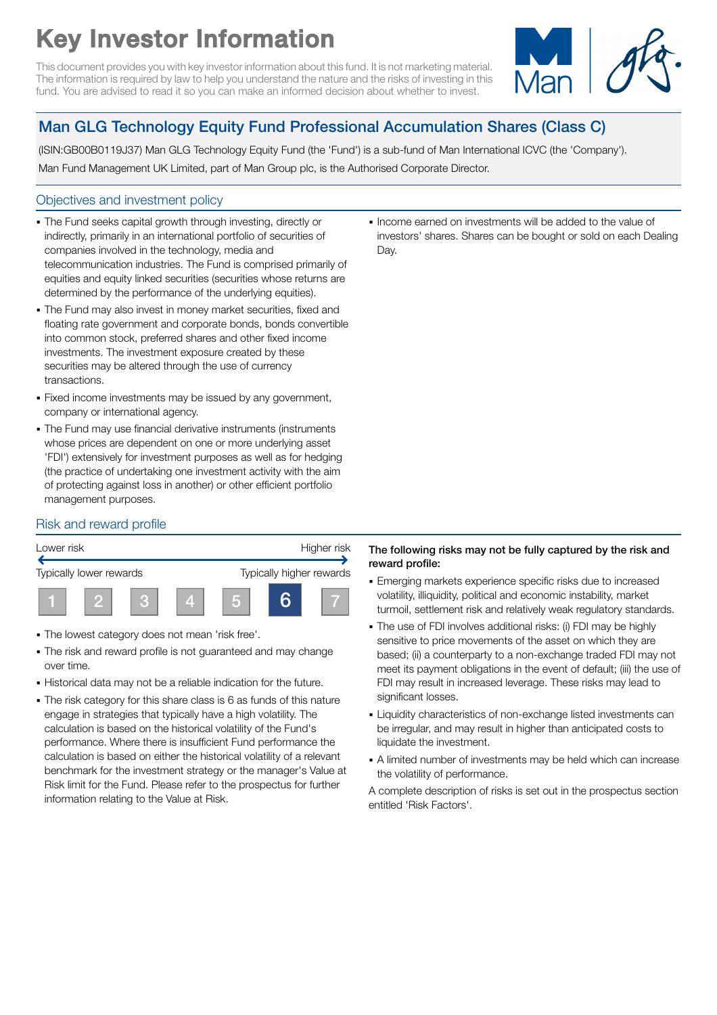# Key Investor Information

This document provides you with key investor information about this fund. It is not marketing material. The information is required by law to help you understand the nature and the risks of investing in this fund. You are advised to read it so you can make an informed decision about whether to invest.



# Man GLG Technology Equity Fund Professional Accumulation Shares (Class C)

(ISIN:GB00B0119J37) Man GLG Technology Equity Fund (the 'Fund') is a sub-fund of Man International ICVC (the 'Company').

Man Fund Management UK Limited, part of Man Group plc, is the Authorised Corporate Director.

# Objectives and investment policy

- The Fund seeks capital growth through investing, directly or indirectly, primarily in an international portfolio of securities of companies involved in the technology, media and telecommunication industries. The Fund is comprised primarily of equities and equity linked securities (securities whose returns are determined by the performance of the underlying equities).
- The Fund may also invest in money market securities, fixed and floating rate government and corporate bonds, bonds convertible into common stock, preferred shares and other fixed income investments. The investment exposure created by these securities may be altered through the use of currency transactions.
- Fixed income investments may be issued by any government, company or international agency.
- The Fund may use financial derivative instruments (instruments whose prices are dependent on one or more underlying asset 'FDI') extensively for investment purposes as well as for hedging (the practice of undertaking one investment activity with the aim of protecting against loss in another) or other efficient portfolio management purposes.

1 Income earned on investments will be added to the value of investors' shares. Shares can be bought or sold on each Dealing Day.

# Risk and reward profile



- The lowest category does not mean 'risk free'.
- The risk and reward profile is not guaranteed and may change over time.
- Historical data may not be a reliable indication for the future.
- The risk category for this share class is 6 as funds of this nature engage in strategies that typically have a high volatility. The calculation is based on the historical volatility of the Fund's performance. Where there is insufficient Fund performance the calculation is based on either the historical volatility of a relevant benchmark for the investment strategy or the manager's Value at Risk limit for the Fund. Please refer to the prospectus for further information relating to the Value at Risk.

#### The following risks may not be fully captured by the risk and reward profile:

- **Emerging markets experience specific risks due to increased** volatility, illiquidity, political and economic instability, market turmoil, settlement risk and relatively weak regulatory standards.
- The use of FDI involves additional risks: (i) FDI may be highly sensitive to price movements of the asset on which they are based; (ii) a counterparty to a non-exchange traded FDI may not meet its payment obligations in the event of default; (iii) the use of FDI may result in increased leverage. These risks may lead to significant losses.
- 1 Liquidity characteristics of non-exchange listed investments can be irregular, and may result in higher than anticipated costs to liquidate the investment.
- A limited number of investments may be held which can increase the volatility of performance.

A complete description of risks is set out in the prospectus section entitled 'Risk Factors'.